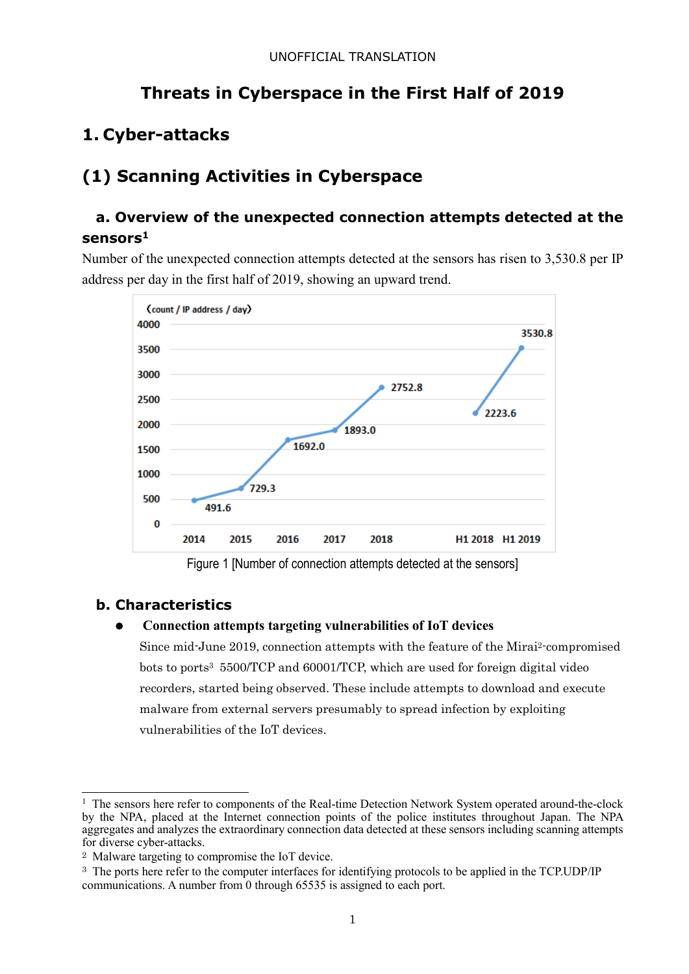# **Threats in Cyberspace in the First Half of 2019**

# **1. Cyber-attacks**

# **(1) Scanning Activities in Cyberspace**

## **a. Overview of the unexpected connection attempts detected at the sensors<sup>1</sup>**

Number of the unexpected connection attempts detected at the sensors has risen to 3,530.8 per IP address per day in the first half of 2019, showing an upward trend.



Figure 1 [Number of connection attempts detected at the sensors]

## **b. Characteristics**

-

### **Connection attempts targeting vulnerabilities of IoT devices**

 Since mid-June 2019, connection attempts with the feature of the Mirai2-compromised bots to ports3 5500/TCP and 60001/TCP, which are used for foreign digital video recorders, started being observed. These include attempts to download and execute malware from external servers presumably to spread infection by exploiting vulnerabilities of the IoT devices.

<sup>&</sup>lt;sup>1</sup> The sensors here refer to components of the Real-time Detection Network System operated around-the-clock by the NPA, placed at the Internet connection points of the police institutes throughout Japan. The NPA aggregates and analyzes the extraordinary connection data detected at these sensors including scanning attempts for diverse cyber-attacks.

<sup>2</sup> Malware targeting to compromise the IoT device.

<sup>&</sup>lt;sup>3</sup> The ports here refer to the computer interfaces for identifying protocols to be applied in the TCP.UDP/IP communications. A number from 0 through 65535 is assigned to each port.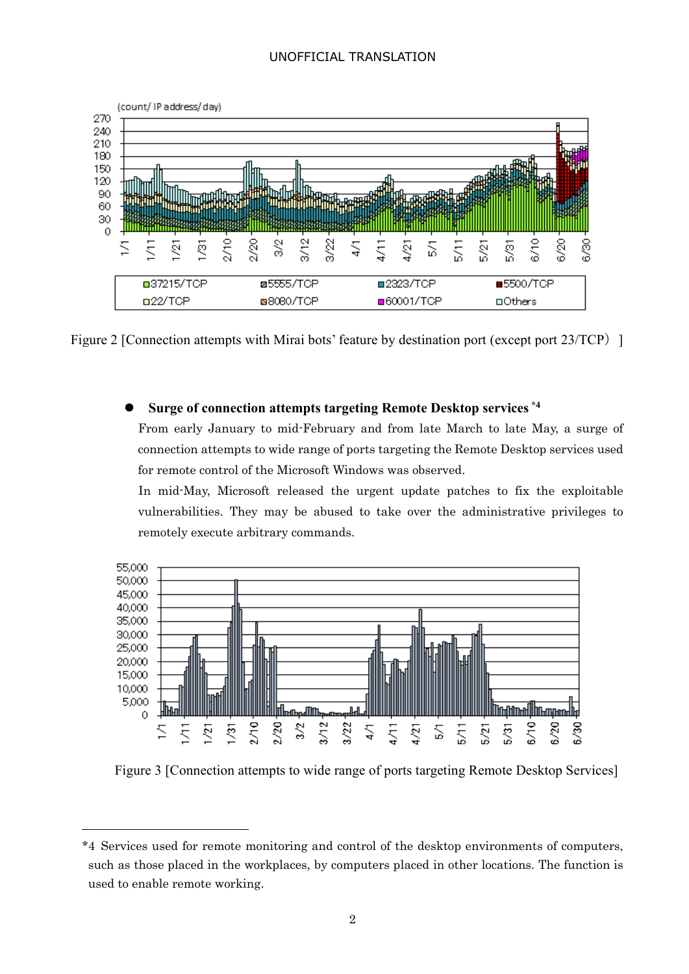

Figure 2 [Connection attempts with Mirai bots' feature by destination port (except port 23/TCP) ]

#### **Surge of connection attempts targeting Remote Desktop services \*4**

From early January to mid-February and from late March to late May, a surge of connection attempts to wide range of ports targeting the Remote Desktop services used for remote control of the Microsoft Windows was observed.

In mid-May, Microsoft released the urgent update patches to fix the exploitable vulnerabilities. They may be abused to take over the administrative privileges to remotely execute arbitrary commands.



Figure 3 [Connection attempts to wide range of ports targeting Remote Desktop Services]

1

<sup>\*4</sup> Services used for remote monitoring and control of the desktop environments of computers, such as those placed in the workplaces, by computers placed in other locations. The function is used to enable remote working.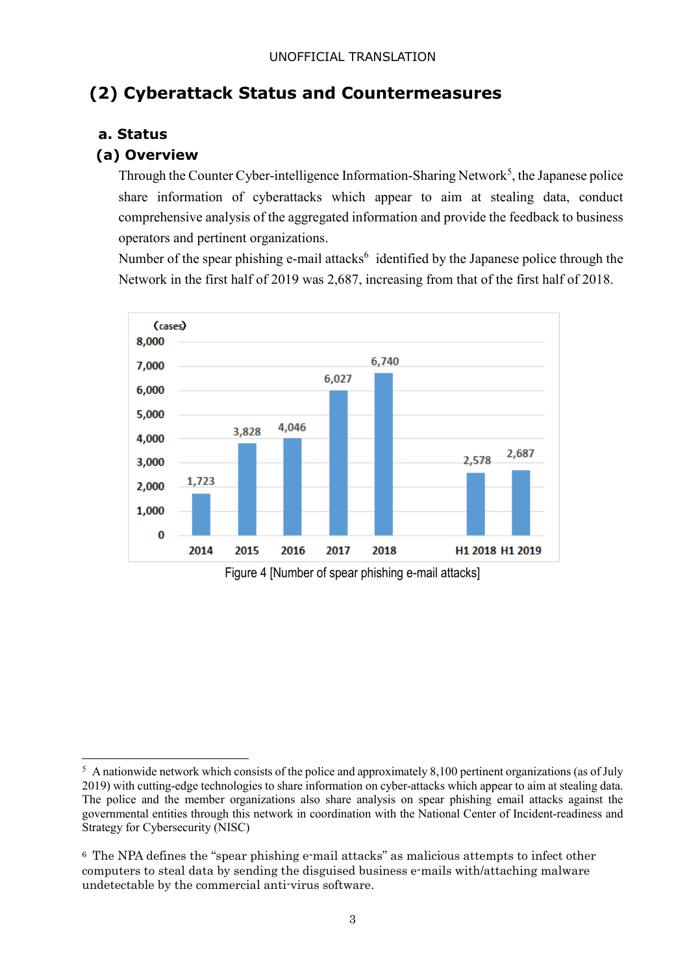# **(2) Cyberattack Status and Countermeasures**

### **a. Status**

-

### **(a) Overview**

Through the Counter Cyber-intelligence Information-Sharing Network<sup>5</sup>, the Japanese police share information of cyberattacks which appear to aim at stealing data, conduct comprehensive analysis of the aggregated information and provide the feedback to business operators and pertinent organizations.

Number of the spear phishing e-mail attacks<sup>6</sup> identified by the Japanese police through the Network in the first half of 2019 was 2,687, increasing from that of the first half of 2018.



Figure 4 [Number of spear phishing e-mail attacks]

 $5$  A nationwide network which consists of the police and approximately 8,100 pertinent organizations (as of July 2019) with cutting-edge technologies to share information on cyber-attacks which appear to aim at stealing data. The police and the member organizations also share analysis on spear phishing email attacks against the governmental entities through this network in coordination with the National Center of Incident-readiness and Strategy for Cybersecurity (NISC)

<sup>6</sup> The NPA defines the "spear phishing e-mail attacks" as malicious attempts to infect other computers to steal data by sending the disguised business e-mails with/attaching malware undetectable by the commercial anti-virus software.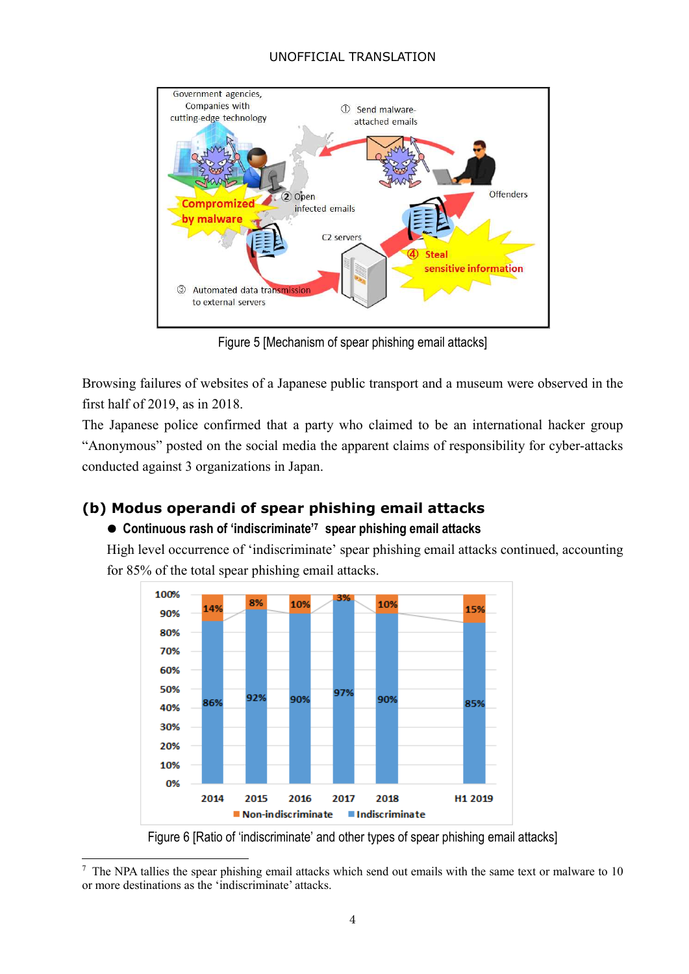

Figure 5 [Mechanism of spear phishing email attacks]

Browsing failures of websites of a Japanese public transport and a museum were observed in the first half of 2019, as in 2018.

The Japanese police confirmed that a party who claimed to be an international hacker group "Anonymous" posted on the social media the apparent claims of responsibility for cyber-attacks conducted against 3 organizations in Japan.

## **(b) Modus operandi of spear phishing email attacks**

-

### **Continuous rash of 'indiscriminate'<sup>7</sup> spear phishing email attacks**

High level occurrence of 'indiscriminate' spear phishing email attacks continued, accounting for 85% of the total spear phishing email attacks.



Figure 6 [Ratio of 'indiscriminate' and other types of spear phishing email attacks]

<sup>&</sup>lt;sup>7</sup> The NPA tallies the spear phishing email attacks which send out emails with the same text or malware to 10 or more destinations as the 'indiscriminate' attacks.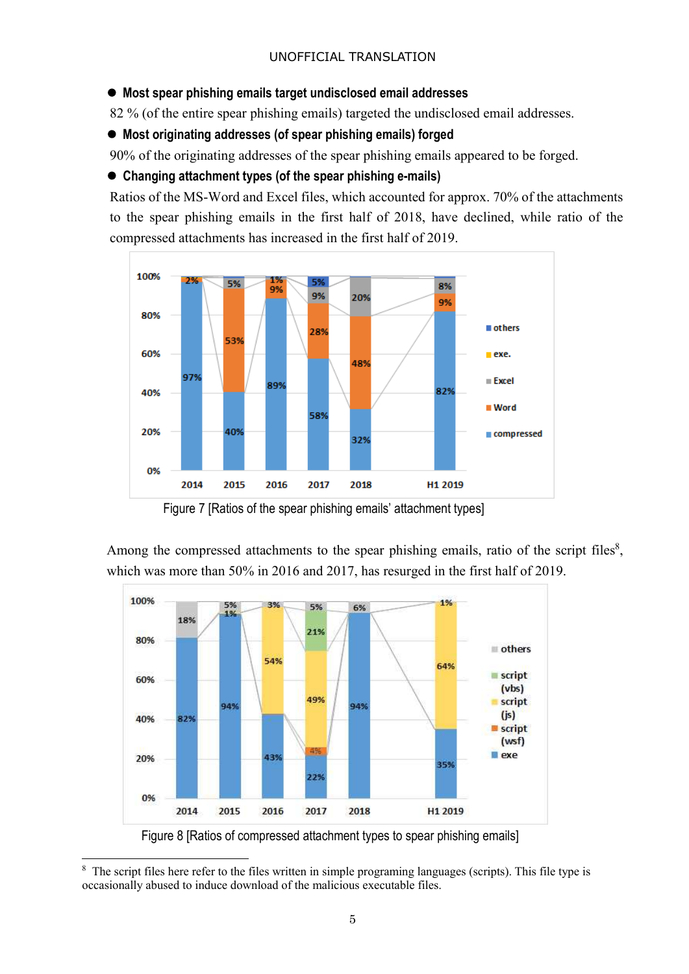### **Most spear phishing emails target undisclosed email addresses**

82 % (of the entire spear phishing emails) targeted the undisclosed email addresses.

**Most originating addresses (of spear phishing emails) forged** 

90% of the originating addresses of the spear phishing emails appeared to be forged.

### **Changing attachment types (of the spear phishing e-mails)**

Ratios of the MS-Word and Excel files, which accounted for approx. 70% of the attachments to the spear phishing emails in the first half of 2018, have declined, while ratio of the compressed attachments has increased in the first half of 2019.



Figure 7 [Ratios of the spear phishing emails' attachment types]

Among the compressed attachments to the spear phishing emails, ratio of the script files $\delta$ , which was more than 50% in 2016 and 2017, has resurged in the first half of 2019.



<sup>&</sup>lt;sup>8</sup> The script files here refer to the files written in simple programing languages (scripts). This file type is occasionally abused to induce download of the malicious executable files.

-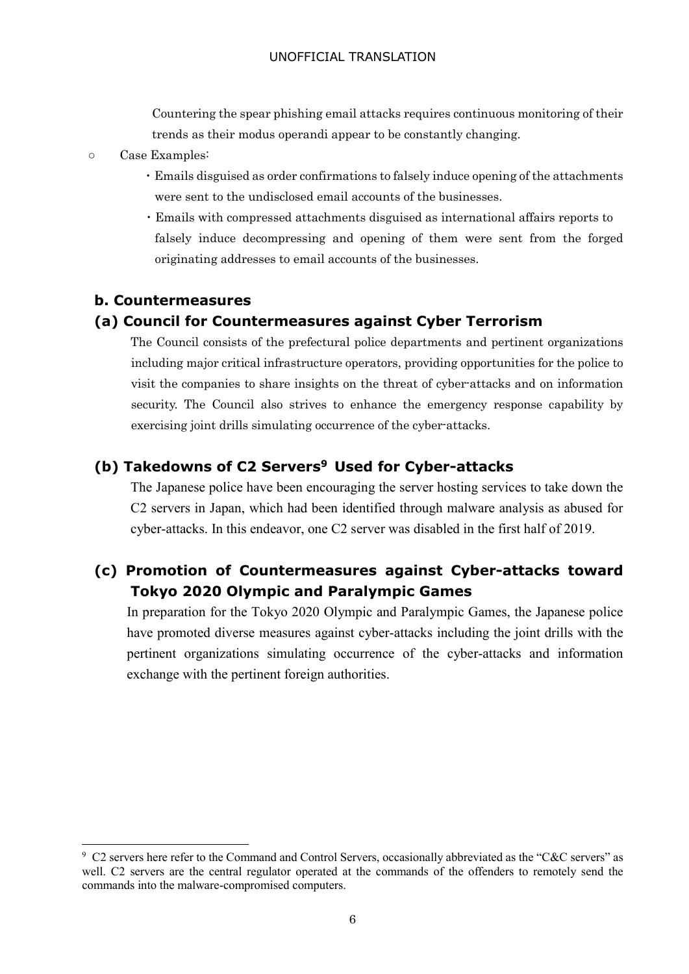Countering the spear phishing email attacks requires continuous monitoring of their trends as their modus operandi appear to be constantly changing.

- Case Examples:
	- ・Emails disguised as order confirmations to falsely induce opening of the attachments were sent to the undisclosed email accounts of the businesses.
	- ・Emails with compressed attachments disguised as international affairs reports to falsely induce decompressing and opening of them were sent from the forged originating addresses to email accounts of the businesses.

### **b. Countermeasures**

1

#### **(a) Council for Countermeasures against Cyber Terrorism**

 The Council consists of the prefectural police departments and pertinent organizations including major critical infrastructure operators, providing opportunities for the police to visit the companies to share insights on the threat of cyber-attacks and on information security. The Council also strives to enhance the emergency response capability by exercising joint drills simulating occurrence of the cyber-attacks.

### **(b) Takedowns of C2 Servers<sup>9</sup> Used for Cyber-attacks**

The Japanese police have been encouraging the server hosting services to take down the C2 servers in Japan, which had been identified through malware analysis as abused for cyber-attacks. In this endeavor, one C2 server was disabled in the first half of 2019.

## **(c) Promotion of Countermeasures against Cyber-attacks toward Tokyo 2020 Olympic and Paralympic Games**

In preparation for the Tokyo 2020 Olympic and Paralympic Games, the Japanese police have promoted diverse measures against cyber-attacks including the joint drills with the pertinent organizations simulating occurrence of the cyber-attacks and information exchange with the pertinent foreign authorities.

<sup>&</sup>lt;sup>9</sup> C2 servers here refer to the Command and Control Servers, occasionally abbreviated as the "C&C servers" as well. C2 servers are the central regulator operated at the commands of the offenders to remotely send the commands into the malware-compromised computers.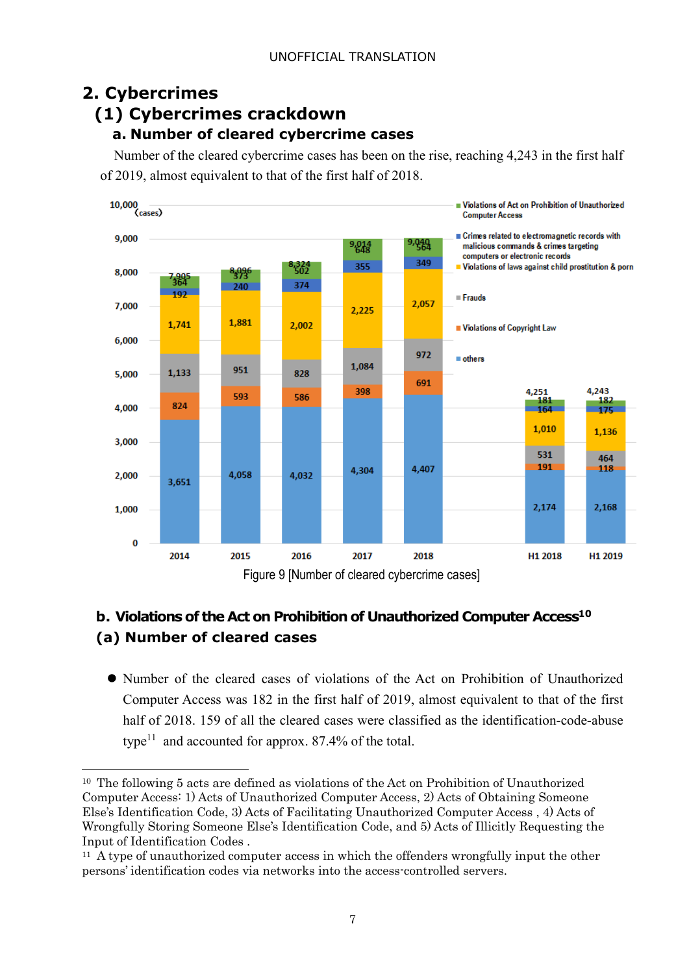# **2. Cybercrimes**

-

# **(1) Cybercrimes crackdown**

## **a. Number of cleared cybercrime cases**

Number of the cleared cybercrime cases has been on the rise, reaching 4,243 in the first half of 2019, almost equivalent to that of the first half of 2018.



# **b. Violations of the Act on Prohibition of Unauthorized Computer Access<sup>10</sup> (a) Number of cleared cases**

Number of the cleared cases of violations of the Act on Prohibition of Unauthorized Computer Access was 182 in the first half of 2019, almost equivalent to that of the first half of 2018. 159 of all the cleared cases were classified as the identification-code-abuse type<sup>11</sup> and accounted for approx.  $87.4\%$  of the total.

<sup>10</sup> The following 5 acts are defined as violations of the Act on Prohibition of Unauthorized Computer Access: 1) Acts of Unauthorized Computer Access, 2) Acts of Obtaining Someone Else's Identification Code, 3) Acts of Facilitating Unauthorized Computer Access , 4) Acts of Wrongfully Storing Someone Else's Identification Code, and 5) Acts of Illicitly Requesting the Input of Identification Codes .

<sup>11</sup> A type of unauthorized computer access in which the offenders wrongfully input the other persons' identification codes via networks into the access-controlled servers.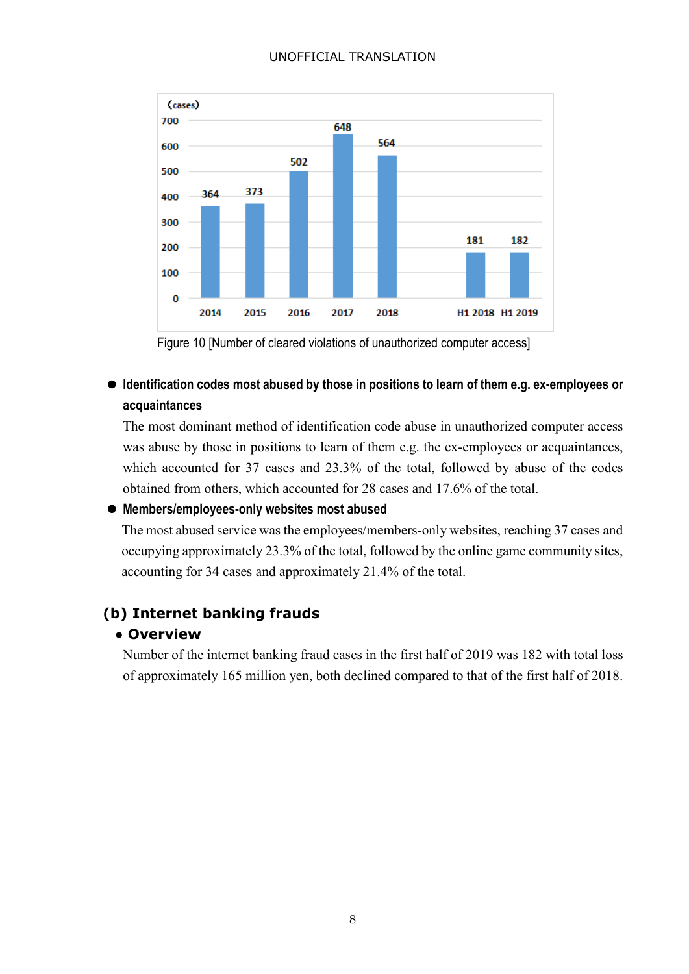

Figure 10 [Number of cleared violations of unauthorized computer access]

## **Identification codes most abused by those in positions to learn of them e.g. ex-employees or acquaintances**

The most dominant method of identification code abuse in unauthorized computer access was abuse by those in positions to learn of them e.g. the ex-employees or acquaintances, which accounted for 37 cases and 23.3% of the total, followed by abuse of the codes obtained from others, which accounted for 28 cases and 17.6% of the total.

#### **Members/employees-only websites most abused**

The most abused service was the employees/members-only websites, reaching 37 cases and occupying approximately 23.3% of the total, followed by the online game community sites, accounting for 34 cases and approximately 21.4% of the total.

## **(b) Internet banking frauds**

### **● Overview**

Number of the internet banking fraud cases in the first half of 2019 was 182 with total loss of approximately 165 million yen, both declined compared to that of the first half of 2018.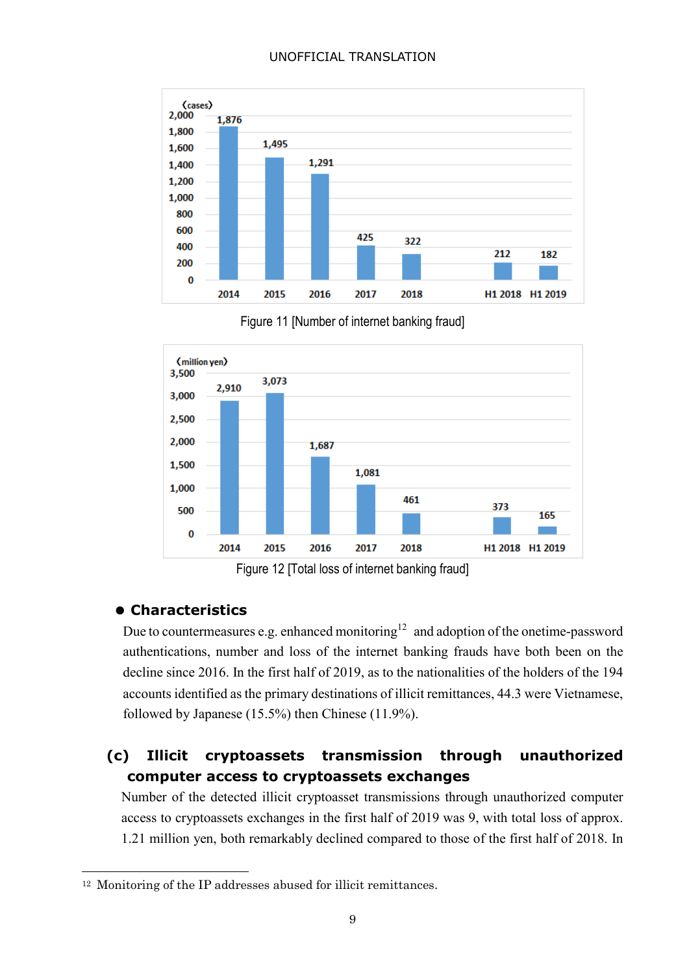

Figure 11 [Number of internet banking fraud]



Figure 12 [Total loss of internet banking fraud]

## **Characteristics**

1

Due to countermeasures e.g. enhanced monitoring<sup>12</sup> and adoption of the onetime-password authentications, number and loss of the internet banking frauds have both been on the decline since 2016. In the first half of 2019, as to the nationalities of the holders of the 194 accounts identified as the primary destinations of illicit remittances, 44.3 were Vietnamese, followed by Japanese (15.5%) then Chinese (11.9%).

## **(c) Illicit cryptoassets transmission through unauthorized computer access to cryptoassets exchanges**

Number of the detected illicit cryptoasset transmissions through unauthorized computer access to cryptoassets exchanges in the first half of 2019 was 9, with total loss of approx. 1.21 million yen, both remarkably declined compared to those of the first half of 2018. In

<sup>12</sup> Monitoring of the IP addresses abused for illicit remittances.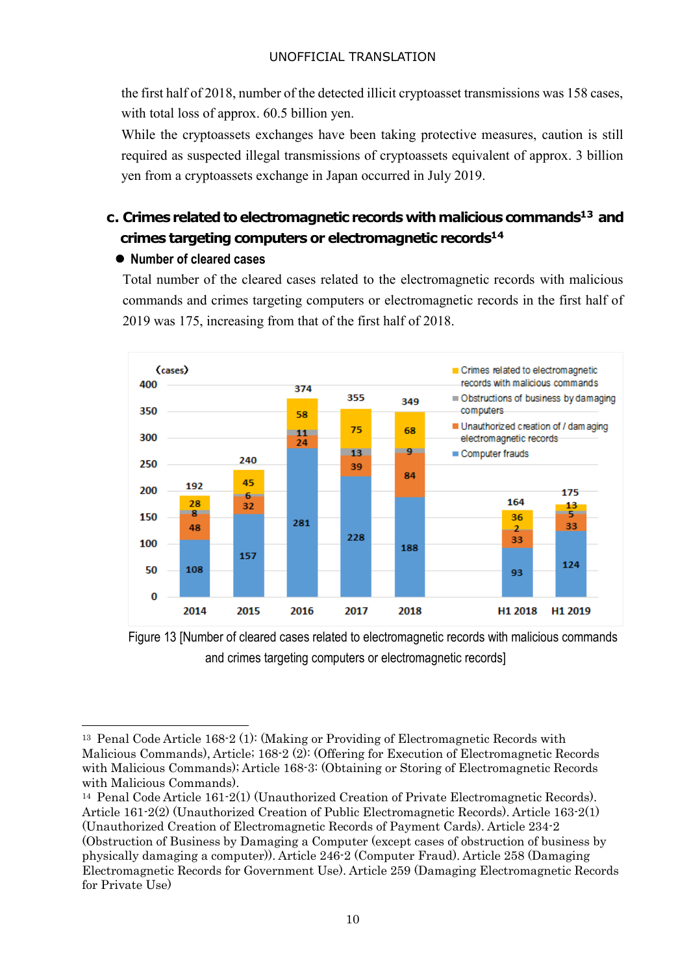the first half of 2018, number of the detected illicit cryptoasset transmissions was 158 cases, with total loss of approx. 60.5 billion yen.

While the cryptoassets exchanges have been taking protective measures, caution is still required as suspected illegal transmissions of cryptoassets equivalent of approx. 3 billion yen from a cryptoassets exchange in Japan occurred in July 2019.

## **c. Crimes related to electromagnetic records with malicious commands<sup>13</sup> and crimes targeting computers or electromagnetic records<sup>14</sup>**

### **Number of cleared cases**

-

Total number of the cleared cases related to the electromagnetic records with malicious commands and crimes targeting computers or electromagnetic records in the first half of 2019 was 175, increasing from that of the first half of 2018.



Figure 13 [Number of cleared cases related to electromagnetic records with malicious commands and crimes targeting computers or electromagnetic records]

<sup>13</sup> Penal Code Article 168-2 (1): (Making or Providing of Electromagnetic Records with Malicious Commands), Article; 168-2 (2): (Offering for Execution of Electromagnetic Records with Malicious Commands); Article 168-3: (Obtaining or Storing of Electromagnetic Records with Malicious Commands).

<sup>14</sup> Penal Code Article 161-2(1) (Unauthorized Creation of Private Electromagnetic Records). Article 161-2(2) (Unauthorized Creation of Public Electromagnetic Records). Article 163-2(1) (Unauthorized Creation of Electromagnetic Records of Payment Cards). Article 234-2

<sup>(</sup>Obstruction of Business by Damaging a Computer (except cases of obstruction of business by physically damaging a computer)). Article 246-2 (Computer Fraud). Article 258 (Damaging Electromagnetic Records for Government Use). Article 259 (Damaging Electromagnetic Records for Private Use)